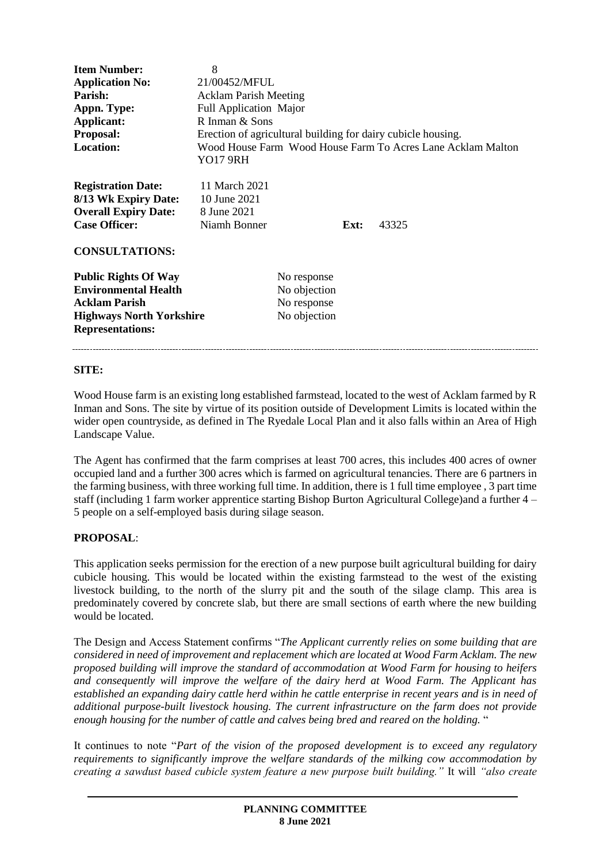| <b>Item Number:</b><br><b>Application No:</b><br>Parish:<br>Appn. Type:<br>Applicant:<br><b>Proposal:</b><br><b>Location:</b>                    | 8<br>21/00452/MFUL<br><b>Acklam Parish Meeting</b><br>Full Application Major<br>R Inman & Sons<br>Erection of agricultural building for dairy cubicle housing.<br>Wood House Farm Wood House Farm To Acres Lane Acklam Malton<br><b>YO17 9RH</b> |                                                            |      |       |
|--------------------------------------------------------------------------------------------------------------------------------------------------|--------------------------------------------------------------------------------------------------------------------------------------------------------------------------------------------------------------------------------------------------|------------------------------------------------------------|------|-------|
| <b>Registration Date:</b><br>8/13 Wk Expiry Date:<br><b>Overall Expiry Date:</b><br><b>Case Officer:</b><br><b>CONSULTATIONS:</b>                | 11 March 2021<br>10 June 2021<br>8 June 2021<br>Niamh Bonner                                                                                                                                                                                     |                                                            | Ext: | 43325 |
| <b>Public Rights Of Way</b><br><b>Environmental Health</b><br><b>Acklam Parish</b><br><b>Highways North Yorkshire</b><br><b>Representations:</b> |                                                                                                                                                                                                                                                  | No response<br>No objection<br>No response<br>No objection |      |       |

#### **SITE:**

Wood House farm is an existing long established farmstead, located to the west of Acklam farmed by R Inman and Sons. The site by virtue of its position outside of Development Limits is located within the wider open countryside, as defined in The Ryedale Local Plan and it also falls within an Area of High Landscape Value.

The Agent has confirmed that the farm comprises at least 700 acres, this includes 400 acres of owner occupied land and a further 300 acres which is farmed on agricultural tenancies. There are 6 partners in the farming business, with three working full time. In addition, there is 1 full time employee , 3 part time staff (including 1 farm worker apprentice starting Bishop Burton Agricultural College)and a further 4 – 5 people on a self-employed basis during silage season.

## **PROPOSAL**:

This application seeks permission for the erection of a new purpose built agricultural building for dairy cubicle housing. This would be located within the existing farmstead to the west of the existing livestock building, to the north of the slurry pit and the south of the silage clamp. This area is predominately covered by concrete slab, but there are small sections of earth where the new building would be located.

The Design and Access Statement confirms "*The Applicant currently relies on some building that are considered in need of improvement and replacement which are located at Wood Farm Acklam. The new proposed building will improve the standard of accommodation at Wood Farm for housing to heifers and consequently will improve the welfare of the dairy herd at Wood Farm. The Applicant has established an expanding dairy cattle herd within he cattle enterprise in recent years and is in need of additional purpose-built livestock housing. The current infrastructure on the farm does not provide enough housing for the number of cattle and calves being bred and reared on the holding.* "

It continues to note "*Part of the vision of the proposed development is to exceed any regulatory requirements to significantly improve the welfare standards of the milking cow accommodation by creating a sawdust based cubicle system feature a new purpose built building."* It will *"also create*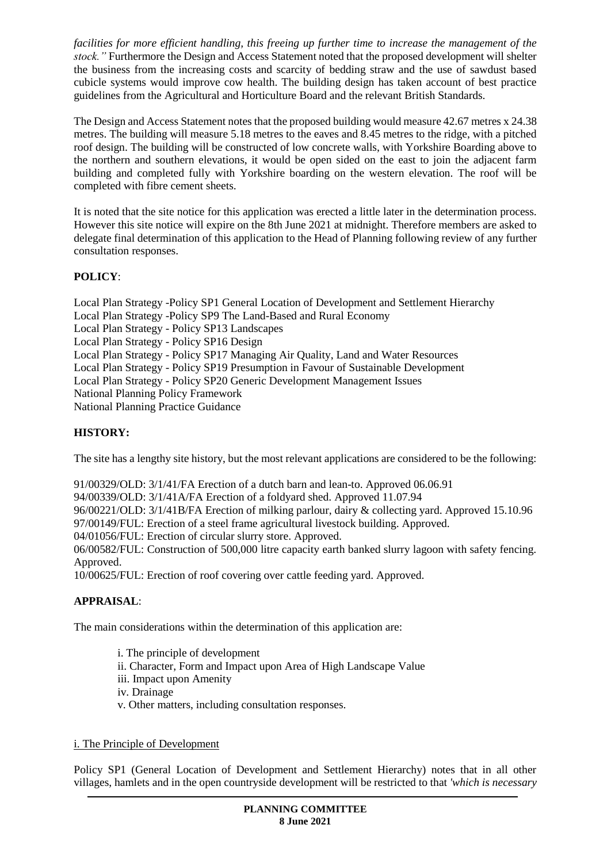*facilities for more efficient handling, this freeing up further time to increase the management of the stock."* Furthermore the Design and Access Statement noted that the proposed development will shelter the business from the increasing costs and scarcity of bedding straw and the use of sawdust based cubicle systems would improve cow health. The building design has taken account of best practice guidelines from the Agricultural and Horticulture Board and the relevant British Standards.

The Design and Access Statement notes that the proposed building would measure 42.67 metres x 24.38 metres. The building will measure 5.18 metres to the eaves and 8.45 metres to the ridge, with a pitched roof design. The building will be constructed of low concrete walls, with Yorkshire Boarding above to the northern and southern elevations, it would be open sided on the east to join the adjacent farm building and completed fully with Yorkshire boarding on the western elevation. The roof will be completed with fibre cement sheets.

It is noted that the site notice for this application was erected a little later in the determination process. However this site notice will expire on the 8th June 2021 at midnight. Therefore members are asked to delegate final determination of this application to the Head of Planning following review of any further consultation responses.

# **POLICY**:

Local Plan Strategy -Policy SP1 General Location of Development and Settlement Hierarchy Local Plan Strategy -Policy SP9 The Land-Based and Rural Economy Local Plan Strategy - Policy SP13 Landscapes Local Plan Strategy - Policy SP16 Design Local Plan Strategy - Policy SP17 Managing Air Quality, Land and Water Resources Local Plan Strategy - Policy SP19 Presumption in Favour of Sustainable Development Local Plan Strategy - Policy SP20 Generic Development Management Issues National Planning Policy Framework National Planning Practice Guidance

## **HISTORY:**

The site has a lengthy site history, but the most relevant applications are considered to be the following:

91/00329/OLD: 3/1/41/FA Erection of a dutch barn and lean-to. Approved 06.06.91

94/00339/OLD: 3/1/41A/FA Erection of a foldyard shed. Approved 11.07.94

96/00221/OLD: 3/1/41B/FA Erection of milking parlour, dairy & collecting yard. Approved 15.10.96

97/00149/FUL: Erection of a steel frame agricultural livestock building. Approved.

04/01056/FUL: Erection of circular slurry store. Approved.

06/00582/FUL: Construction of 500,000 litre capacity earth banked slurry lagoon with safety fencing. Approved.

10/00625/FUL: Erection of roof covering over cattle feeding yard. Approved.

## **APPRAISAL**:

The main considerations within the determination of this application are:

i. The principle of development

ii. Character, Form and Impact upon Area of High Landscape Value

iii. Impact upon Amenity

iv. Drainage

v. Other matters, including consultation responses.

## i. The Principle of Development

Policy SP1 (General Location of Development and Settlement Hierarchy) notes that in all other villages, hamlets and in the open countryside development will be restricted to that *'which is necessary*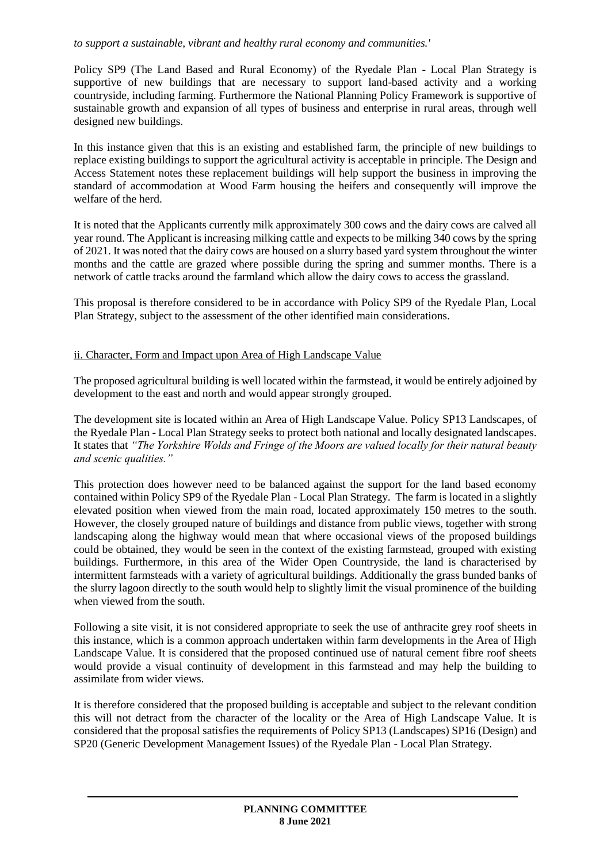#### *to support a sustainable, vibrant and healthy rural economy and communities.'*

Policy SP9 (The Land Based and Rural Economy) of the Ryedale Plan - Local Plan Strategy is supportive of new buildings that are necessary to support land-based activity and a working countryside, including farming. Furthermore the National Planning Policy Framework is supportive of sustainable growth and expansion of all types of business and enterprise in rural areas, through well designed new buildings.

In this instance given that this is an existing and established farm, the principle of new buildings to replace existing buildings to support the agricultural activity is acceptable in principle. The Design and Access Statement notes these replacement buildings will help support the business in improving the standard of accommodation at Wood Farm housing the heifers and consequently will improve the welfare of the herd.

It is noted that the Applicants currently milk approximately 300 cows and the dairy cows are calved all year round. The Applicant is increasing milking cattle and expects to be milking 340 cows by the spring of 2021. It was noted that the dairy cows are housed on a slurry based yard system throughout the winter months and the cattle are grazed where possible during the spring and summer months. There is a network of cattle tracks around the farmland which allow the dairy cows to access the grassland.

This proposal is therefore considered to be in accordance with Policy SP9 of the Ryedale Plan, Local Plan Strategy, subject to the assessment of the other identified main considerations.

#### ii. Character, Form and Impact upon Area of High Landscape Value

The proposed agricultural building is well located within the farmstead, it would be entirely adjoined by development to the east and north and would appear strongly grouped.

The development site is located within an Area of High Landscape Value. Policy SP13 Landscapes, of the Ryedale Plan - Local Plan Strategy seeks to protect both national and locally designated landscapes. It states that *"The Yorkshire Wolds and Fringe of the Moors are valued locally for their natural beauty and scenic qualities."*

This protection does however need to be balanced against the support for the land based economy contained within Policy SP9 of the Ryedale Plan - Local Plan Strategy. The farm is located in a slightly elevated position when viewed from the main road, located approximately 150 metres to the south. However, the closely grouped nature of buildings and distance from public views, together with strong landscaping along the highway would mean that where occasional views of the proposed buildings could be obtained, they would be seen in the context of the existing farmstead, grouped with existing buildings. Furthermore, in this area of the Wider Open Countryside, the land is characterised by intermittent farmsteads with a variety of agricultural buildings. Additionally the grass bunded banks of the slurry lagoon directly to the south would help to slightly limit the visual prominence of the building when viewed from the south.

Following a site visit, it is not considered appropriate to seek the use of anthracite grey roof sheets in this instance, which is a common approach undertaken within farm developments in the Area of High Landscape Value. It is considered that the proposed continued use of natural cement fibre roof sheets would provide a visual continuity of development in this farmstead and may help the building to assimilate from wider views.

It is therefore considered that the proposed building is acceptable and subject to the relevant condition this will not detract from the character of the locality or the Area of High Landscape Value. It is considered that the proposal satisfies the requirements of Policy SP13 (Landscapes) SP16 (Design) and SP20 (Generic Development Management Issues) of the Ryedale Plan - Local Plan Strategy.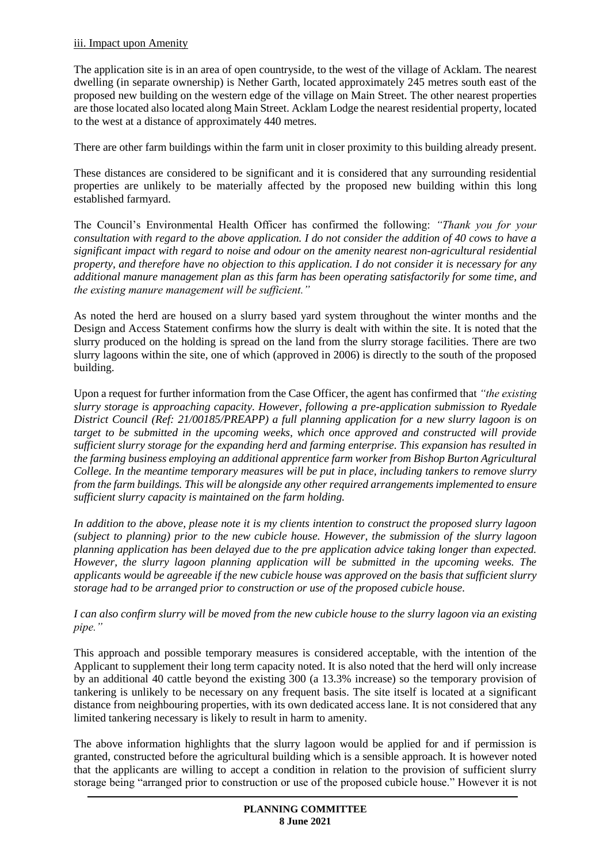#### iii. Impact upon Amenity

The application site is in an area of open countryside, to the west of the village of Acklam. The nearest dwelling (in separate ownership) is Nether Garth, located approximately 245 metres south east of the proposed new building on the western edge of the village on Main Street. The other nearest properties are those located also located along Main Street. Acklam Lodge the nearest residential property, located to the west at a distance of approximately 440 metres.

There are other farm buildings within the farm unit in closer proximity to this building already present.

These distances are considered to be significant and it is considered that any surrounding residential properties are unlikely to be materially affected by the proposed new building within this long established farmyard.

The Council's Environmental Health Officer has confirmed the following: *"Thank you for your consultation with regard to the above application. I do not consider the addition of 40 cows to have a significant impact with regard to noise and odour on the amenity nearest non-agricultural residential property, and therefore have no objection to this application. I do not consider it is necessary for any additional manure management plan as this farm has been operating satisfactorily for some time, and the existing manure management will be sufficient."*

As noted the herd are housed on a slurry based yard system throughout the winter months and the Design and Access Statement confirms how the slurry is dealt with within the site. It is noted that the slurry produced on the holding is spread on the land from the slurry storage facilities. There are two slurry lagoons within the site, one of which (approved in 2006) is directly to the south of the proposed building.

Upon a request for further information from the Case Officer, the agent has confirmed that *"the existing slurry storage is approaching capacity. However, following a pre-application submission to Ryedale District Council (Ref: 21/00185/PREAPP) a full planning application for a new slurry lagoon is on target to be submitted in the upcoming weeks, which once approved and constructed will provide sufficient slurry storage for the expanding herd and farming enterprise. This expansion has resulted in the farming business employing an additional apprentice farm worker from Bishop Burton Agricultural College. In the meantime temporary measures will be put in place, including tankers to remove slurry from the farm buildings. This will be alongside any other required arrangements implemented to ensure sufficient slurry capacity is maintained on the farm holding.* 

*In addition to the above, please note it is my clients intention to construct the proposed slurry lagoon (subject to planning) prior to the new cubicle house. However, the submission of the slurry lagoon planning application has been delayed due to the pre application advice taking longer than expected. However, the slurry lagoon planning application will be submitted in the upcoming weeks. The applicants would be agreeable if the new cubicle house was approved on the basis that sufficient slurry storage had to be arranged prior to construction or use of the proposed cubicle house.* 

*I can also confirm slurry will be moved from the new cubicle house to the slurry lagoon via an existing pipe."*

This approach and possible temporary measures is considered acceptable, with the intention of the Applicant to supplement their long term capacity noted. It is also noted that the herd will only increase by an additional 40 cattle beyond the existing 300 (a 13.3% increase) so the temporary provision of tankering is unlikely to be necessary on any frequent basis. The site itself is located at a significant distance from neighbouring properties, with its own dedicated access lane. It is not considered that any limited tankering necessary is likely to result in harm to amenity.

The above information highlights that the slurry lagoon would be applied for and if permission is granted, constructed before the agricultural building which is a sensible approach. It is however noted that the applicants are willing to accept a condition in relation to the provision of sufficient slurry storage being "arranged prior to construction or use of the proposed cubicle house." However it is not